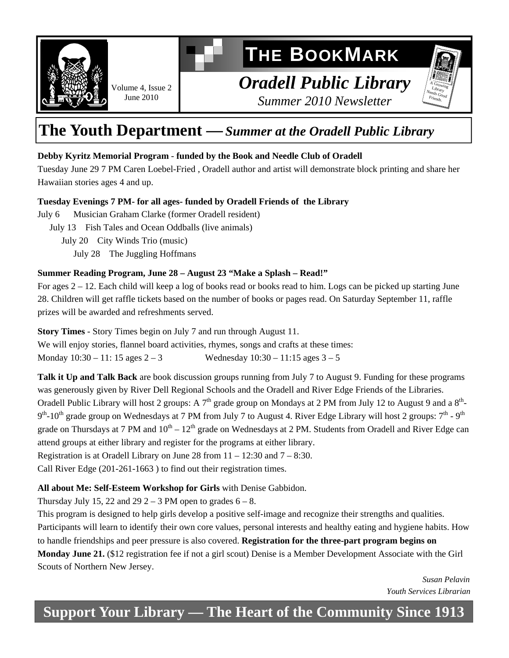

# **THE BOOKMARK**

### *Oradell Public Library Summer 2010 Newsletter*

## **The Youth Department —***Summer at the Oradell Public Library*

#### **Debby Kyritz Memorial Program** - **funded by the Book and Needle Club of Oradell**

Tuesday June 29 7 PM Caren Loebel-Fried , Oradell author and artist will demonstrate block printing and share her Hawaiian stories ages 4 and up.

#### **Tuesday Evenings 7 PM- for all ages- funded by Oradell Friends of the Library**

July 6 Musician Graham Clarke (former Oradell resident)

June 2010

July 13 Fish Tales and Ocean Oddballs (live animals)

July 20 City Winds Trio (music)

July 28 The Juggling Hoffmans

#### **Summer Reading Program, June 28 – August 23 "Make a Splash – Read!"**

For ages 2 – 12. Each child will keep a log of books read or books read to him. Logs can be picked up starting June 28. Children will get raffle tickets based on the number of books or pages read. On Saturday September 11, raffle prizes will be awarded and refreshments served.

**Story Times** - Story Times begin on July 7 and run through August 11.

We will enjoy stories, flannel board activities, rhymes, songs and crafts at these times: Monday  $10:30 - 11: 15$  ages  $2 - 3$  Wednesday  $10:30 - 11:15$  ages  $3 - 5$ 

**Talk it Up and Talk Back** are book discussion groups running from July 7 to August 9. Funding for these programs was generously given by River Dell Regional Schools and the Oradell and River Edge Friends of the Libraries. Oradell Public Library will host 2 groups: A  $7<sup>th</sup>$  grade group on Mondays at 2 PM from July 12 to August 9 and a  $8<sup>th</sup>$ - $9<sup>th</sup>$ -10<sup>th</sup> grade group on Wednesdays at 7 PM from July 7 to August 4. River Edge Library will host 2 groups:  $7<sup>th</sup>$ -9<sup>th</sup> grade on Thursdays at 7 PM and  $10^{th} - 12^{th}$  grade on Wednesdays at 2 PM. Students from Oradell and River Edge can attend groups at either library and register for the programs at either library. Registration is at Oradell Library on June 28 from  $11 - 12:30$  and  $7 - 8:30$ .

Call River Edge (201-261-1663 ) to find out their registration times.

#### **All about Me: Self-Esteem Workshop for Girls** with Denise Gabbidon.

Thursday July 15, 22 and 29  $2 - 3$  PM open to grades  $6 - 8$ .

This program is designed to help girls develop a positive self-image and recognize their strengths and qualities. Participants will learn to identify their own core values, personal interests and healthy eating and hygiene habits. How to handle friendships and peer pressure is also covered. **Registration for the three-part program begins on** 

**Monday June 21.** (\$12 registration fee if not a girl scout) Denise is a Member Development Associate with the Girl Scouts of Northern New Jersey.

> *Susan Pelavin Youth Services Librarian*

 $\frac{A}{I}$  Growing N Library F  $_{\rm e,1}^{\rm e,1}$ eeds  $_{\rm{Good}}$ riends.

# **Support Your Library — The Heart of the Community Since 1913**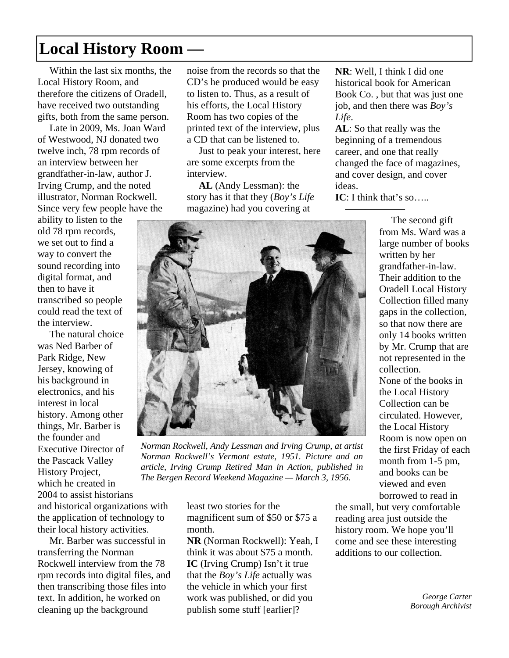# **Local History Room** *—*

Within the last six months, the Local History Room, and therefore the citizens of Oradell, have received two outstanding gifts, both from the same person.

 Late in 2009, Ms. Joan Ward of Westwood, NJ donated two twelve inch, 78 rpm records of an interview between her grandfather-in-law, author J. Irving Crump, and the noted illustrator, Norman Rockwell. Since very few people have the

ability to listen to the old 78 rpm records, we set out to find a way to convert the sound recording into digital format, and then to have it transcribed so people could read the text of the interview.

 The natural choice was Ned Barber of Park Ridge, New Jersey, knowing of his background in electronics, and his interest in local history. Among other things, Mr. Barber is the founder and Executive Director of the Pascack Valley History Project, which he created in 2004 to assist historians and historical organizations with the application of technology to their local history activities.

 Mr. Barber was successful in transferring the Norman Rockwell interview from the 78 rpm records into digital files, and then transcribing those files into text. In addition, he worked on cleaning up the background

noise from the records so that the CD's he produced would be easy to listen to. Thus, as a result of his efforts, the Local History Room has two copies of the printed text of the interview, plus a CD that can be listened to.

 Just to peak your interest, here are some excerpts from the interview.

**AL** (Andy Lessman): the story has it that they (*Boy's Life* magazine) had you covering at

**NR**: Well, I think I did one historical book for American Book Co. , but that was just one job, and then there was *Boy's Life*.

**AL**: So that really was the beginning of a tremendous career, and one that really changed the face of magazines, and cover design, and cover ideas.

**IC**: I think that's so.....



*Norman Rockwell, Andy Lessman and Irving Crump, at artist Norman Rockwell's Vermont estate, 1951. Picture and an article, Irving Crump Retired Man in Action, published in The Bergen Record Weekend Magazine — March 3, 1956.* 

least two stories for the magnificent sum of \$50 or \$75 a month.

**NR** (Norman Rockwell): Yeah, I think it was about \$75 a month. **IC** (Irving Crump) Isn't it true that the *Boy's Life* actually was the vehicle in which your first work was published, or did you publish some stuff [earlier]?

 $\overline{\phantom{a}}$  The second gift from Ms. Ward was a large number of books written by her grandfather-in-law. Their addition to the Oradell Local History Collection filled many gaps in the collection, so that now there are only 14 books written by Mr. Crump that are not represented in the collection. None of the books in the Local History Collection can be circulated. However, the Local History Room is now open on the first Friday of each month from 1-5 pm, and books can be viewed and even borrowed to read in

the small, but very comfortable reading area just outside the history room. We hope you'll come and see these interesting additions to our collection.

> *George Carter Borough Archivist*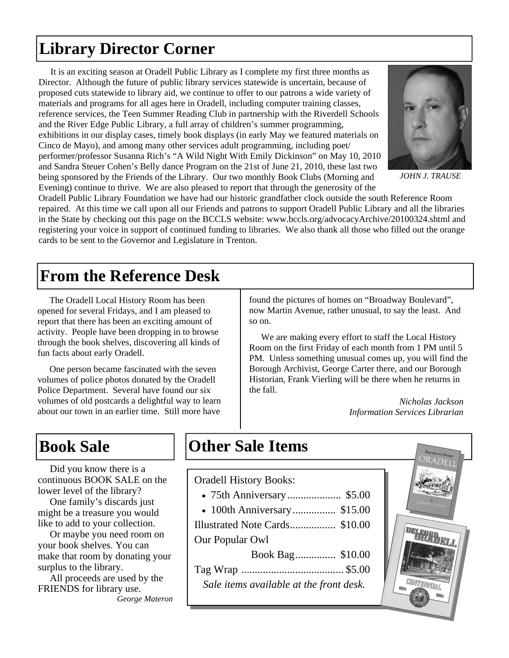# **Library Director Corner**

 It is an exciting season at Oradell Public Library as I complete my first three months as Director. Although the future of public library services statewide is uncertain, because of proposed cuts statewide to library aid, we continue to offer to our patrons a wide variety of materials and programs for all ages here in Oradell, including computer training classes, reference services, the Teen Summer Reading Club in partnership with the Riverdell Schools and the River Edge Public Library, a full array of children's summer programming, exhibitions in our display cases, timely book displays (in early May we featured materials on Cinco de Mayo), and among many other services adult programming, including poet/ performer/professor Susanna Rich's "A Wild Night With Emily Dickinson" on May 10, 2010 and Sandra Steuer Cohen's Belly dance Program on the 21st of June 21, 2010, these last two being sponsored by the Friends of the Library. Our two monthly Book Clubs (Morning and Evening) continue to thrive. We are also pleased to report that through the generosity of the



*JOHN J. TRAUSE* 

Oradell Public Library Foundation we have had our historic grandfather clock outside the south Reference Room repaired. At this time we call upon all our Friends and patrons to support Oradell Public Library and all the libraries in the State by checking out this page on the BCCLS website: www.bccls.org/advocacyArchive/20100324.shtml and registering your voice in support of continued funding to libraries. We also thank all those who filled out the orange cards to be sent to the Governor and Legislature in Trenton.

## **From the Reference Desk**

The Oradell Local History Room has been opened for several Fridays, and I am pleased to report that there has been an exciting amount of activity. People have been dropping in to browse through the book shelves, discovering all kinds of fun facts about early Oradell.

 One person became fascinated with the seven volumes of police photos donated by the Oradell Police Department. Several have found our six volumes of old postcards a delightful way to learn about our town in an earlier time. Still more have found the pictures of homes on "Broadway Boulevard", now Martin Avenue, rather unusual, to say the least. And so on.

 We are making every effort to staff the Local History Room on the first Friday of each month from 1 PM until 5 PM. Unless something unusual comes up, you will find the Borough Archivist, George Carter there, and our Borough Historian, Frank Vierling will be there when he returns in the fall.

> *Nicholas Jackson Information Services Librarian*

Did you know there is a continuous BOOK SALE on the lower level of the library?

 One family's discards just might be a treasure you would like to add to your collection.

 Or maybe you need room on your book shelves. You can make that room by donating your surplus to the library.

 All proceeds are used by the FRIENDS for library use. *George Materon*

# **Book Sale 12 Corner Sale Items**

#### Oradell History Books:

- 75th Anniversary .................... \$5.00
- 100th Anniversary ................ \$15.00
- Illustrated Note Cards ................. \$10.00

#### Our Popular Owl

| Sale items available at the front desk. |  |
|-----------------------------------------|--|